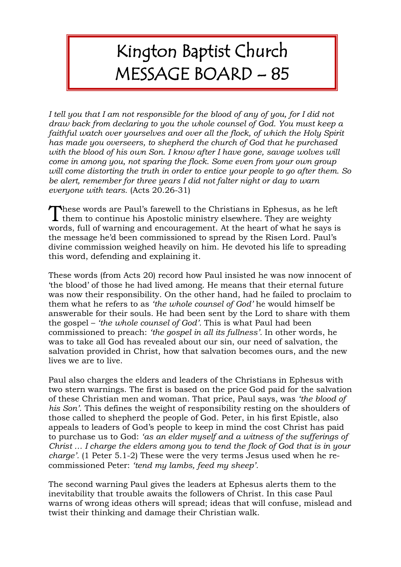## Kington Baptist Church MESSAGE BOARD – 85

*I tell you that I am not responsible for the blood of any of you, for I did not draw back from declaring to you the whole counsel of God. You must keep a faithful watch over yourselves and over all the flock, of which the Holy Spirit has made you overseers, to shepherd the church of God that he purchased*  with the blood of his own Son. I know after I have gone, savage wolves will *come in among you, not sparing the flock. Some even from your own group will come distorting the truth in order to entice your people to go after them. So be alert, remember for three years I did not falter night or day to warn everyone with tears.* (Acts 20.26-31)

These words are Paul's farewell to the Christians in Ephesus, as he left them to continue his Apostolic ministry elsewhere. They are weighty them to continue his Apostolic ministry elsewhere. They are weighty words, full of warning and encouragement. At the heart of what he says is the message he'd been commissioned to spread by the Risen Lord. Paul's divine commission weighed heavily on him. He devoted his life to spreading this word, defending and explaining it.

These words (from Acts 20) record how Paul insisted he was now innocent of 'the blood' of those he had lived among. He means that their eternal future was now their responsibility. On the other hand, had he failed to proclaim to them what he refers to as *'the whole counsel of God'* he would himself be answerable for their souls. He had been sent by the Lord to share with them the gospel – *'the whole counsel of God'.* This is what Paul had been commissioned to preach: *'the gospel in all its fullness'.* In other words, he was to take all God has revealed about our sin, our need of salvation, the salvation provided in Christ, how that salvation becomes ours, and the new lives we are to live.

Paul also charges the elders and leaders of the Christians in Ephesus with two stern warnings. The first is based on the price God paid for the salvation of these Christian men and woman. That price, Paul says, was *'the blood of his Son'*. This defines the weight of responsibility resting on the shoulders of those called to shepherd the people of God. Peter, in his first Epistle, also appeals to leaders of God's people to keep in mind the cost Christ has paid to purchase us to God: *'as an elder myself and a witness of the sufferings of Christ … I charge the elders among you to tend the flock of God that is in your charge'.* (1 Peter 5.1-2) These were the very terms Jesus used when he recommissioned Peter: *'tend my lambs, feed my sheep'.*

The second warning Paul gives the leaders at Ephesus alerts them to the inevitability that trouble awaits the followers of Christ. In this case Paul warns of wrong ideas others will spread; ideas that will confuse, mislead and twist their thinking and damage their Christian walk.